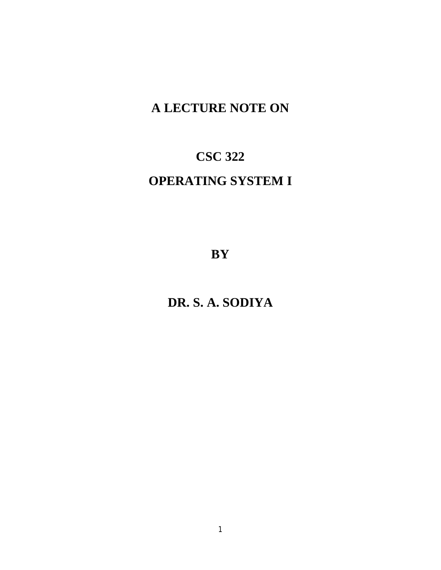# **A LECTURE NOTE ON**

# **CSC 322**

# **OPERATING SYSTEM I**

**BY** 

**DR. S. A. SODIYA**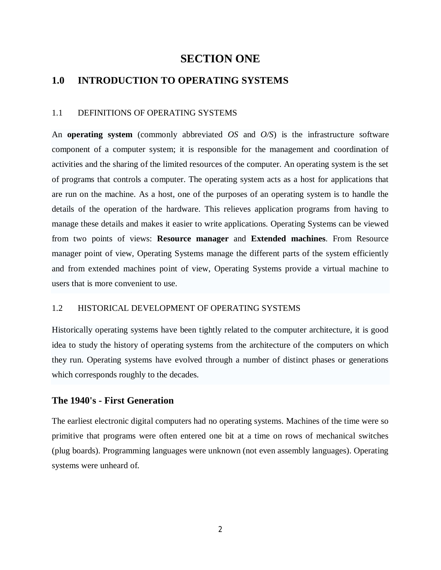# **SECTION ONE**

# **1.0 INTRODUCTION TO OPERATING SYSTEMS**

#### 1.1 DEFINITIONS OF OPERATING SYSTEMS

An **operating system** (commonly abbreviated *OS* and *O/S*) is the infrastructure software component of a computer system; it is responsible for the management and coordination of activities and the sharing of the limited resources of the computer. An operating system is the set of programs that controls a computer. The operating system acts as a host for applications that are run on the machine. As a host, one of the purposes of an operating system is to handle the details of the operation of the hardware. This relieves application programs from having to manage these details and makes it easier to write applications. Operating Systems can be viewed from two points of views: **Resource manager** and **Extended machines**. From Resource manager point of view, Operating Systems manage the different parts of the system efficiently and from extended machines point of view, Operating Systems provide a virtual machine to users that is more convenient to use.

# 1.2 HISTORICAL DEVELOPMENT OF OPERATING SYSTEMS

Historically operating systems have been tightly related to the computer architecture, it is good idea to study the history of operating systems from the architecture of the computers on which they run. Operating systems have evolved through a number of distinct phases or generations which corresponds roughly to the decades.

# **The 1940's - First Generation**

The earliest electronic digital computers had no operating systems. Machines of the time were so primitive that programs were often entered one bit at a time on rows of mechanical switches (plug boards). Programming languages were unknown (not even assembly languages). Operating systems were unheard of.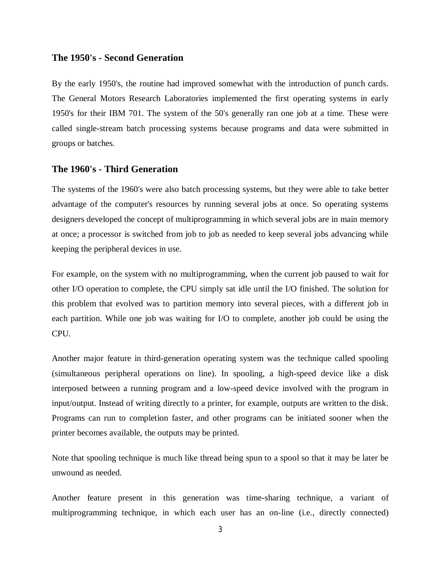### **The 1950's - Second Generation**

By the early 1950's, the routine had improved somewhat with the introduction of punch cards. The General Motors Research Laboratories implemented the first operating systems in early 1950's for their IBM 701. The system of the 50's generally ran one job at a time. These were called single-stream batch processing systems because programs and data were submitted in groups or batches.

# **The 1960's - Third Generation**

The systems of the 1960's were also batch processing systems, but they were able to take better advantage of the computer's resources by running several jobs at once. So operating systems designers developed the concept of multiprogramming in which several jobs are in main memory at once; a processor is switched from job to job as needed to keep several jobs advancing while keeping the peripheral devices in use.

For example, on the system with no multiprogramming, when the current job paused to wait for other I/O operation to complete, the CPU simply sat idle until the I/O finished. The solution for this problem that evolved was to partition memory into several pieces, with a different job in each partition. While one job was waiting for I/O to complete, another job could be using the CPU.

Another major feature in third-generation operating system was the technique called spooling (simultaneous peripheral operations on line). In spooling, a high-speed device like a disk interposed between a running program and a low-speed device involved with the program in input/output. Instead of writing directly to a printer, for example, outputs are written to the disk. Programs can run to completion faster, and other programs can be initiated sooner when the printer becomes available, the outputs may be printed.

Note that spooling technique is much like thread being spun to a spool so that it may be later be unwound as needed.

Another feature present in this generation was time-sharing technique, a variant of multiprogramming technique, in which each user has an on-line (i.e., directly connected)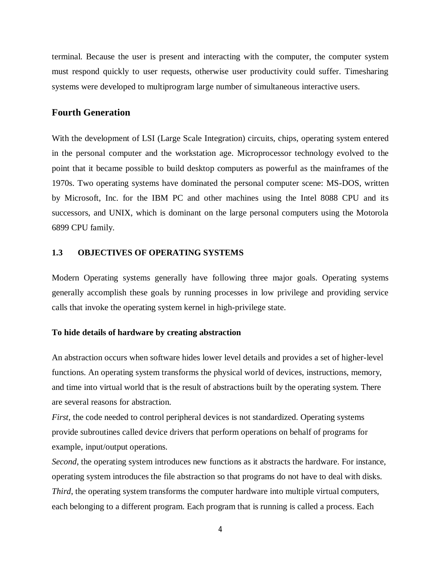terminal. Because the user is present and interacting with the computer, the computer system must respond quickly to user requests, otherwise user productivity could suffer. Timesharing systems were developed to multiprogram large number of simultaneous interactive users.

# **Fourth Generation**

With the development of LSI (Large Scale Integration) circuits, chips, operating system entered in the personal computer and the workstation age. Microprocessor technology evolved to the point that it became possible to build desktop computers as powerful as the mainframes of the 1970s. Two operating systems have dominated the personal computer scene: MS-DOS, written by Microsoft, Inc. for the IBM PC and other machines using the Intel 8088 CPU and its successors, and UNIX, which is dominant on the large personal computers using the Motorola 6899 CPU family.

#### **1.3 OBJECTIVES OF OPERATING SYSTEMS**

Modern Operating systems generally have following three major goals. Operating systems generally accomplish these goals by running processes in low privilege and providing service calls that invoke the operating system kernel in high-privilege state.

#### **To hide details of hardware by creating abstraction**

An abstraction occurs when software hides lower level details and provides a set of higher-level functions. An operating system transforms the physical world of devices, instructions, memory, and time into virtual world that is the result of abstractions built by the operating system. There are several reasons for abstraction.

*First*, the code needed to control peripheral devices is not standardized. Operating systems provide subroutines called device drivers that perform operations on behalf of programs for example, input/output operations.

*Second*, the operating system introduces new functions as it abstracts the hardware. For instance, operating system introduces the file abstraction so that programs do not have to deal with disks. *Third*, the operating system transforms the computer hardware into multiple virtual computers, each belonging to a different program. Each program that is running is called a process. Each

4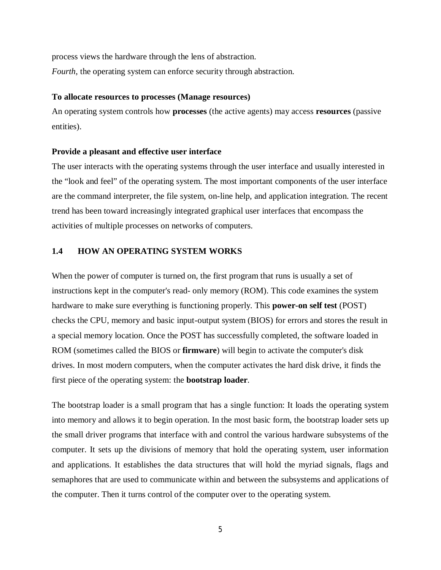process views the hardware through the lens of abstraction. *Fourth*, the operating system can enforce security through abstraction.

#### **To allocate resources to processes (Manage resources)**

An operating system controls how **processes** (the active agents) may access **resources** (passive entities).

#### **Provide a pleasant and effective user interface**

The user interacts with the operating systems through the user interface and usually interested in the "look and feel" of the operating system. The most important components of the user interface are the command interpreter, the file system, on-line help, and application integration. The recent trend has been toward increasingly integrated graphical user interfaces that encompass the activities of multiple processes on networks of computers.

# **1.4 HOW AN OPERATING SYSTEM WORKS**

When the power of computer is turned on, the first program that runs is usually a set of instructions kept in the computer's read- only memory (ROM). This code examines the system hardware to make sure everything is functioning properly. This **power-on self test** (POST) checks the CPU, memory and basic input-output system (BIOS) for errors and stores the result in a special memory location. Once the POST has successfully completed, the software loaded in ROM (sometimes called the BIOS or **firmware**) will begin to activate the computer's disk drives. In most modern computers, when the computer activates the hard disk drive, it finds the first piece of the operating system: the **bootstrap loader**.

The bootstrap loader is a small program that has a single function: It loads the operating system into memory and allows it to begin operation. In the most basic form, the bootstrap loader sets up the small driver programs that interface with and control the various hardware subsystems of the computer. It sets up the divisions of memory that hold the operating system, user information and applications. It establishes the data structures that will hold the myriad signals, flags and semaphores that are used to communicate within and between the subsystems and applications of the computer. Then it turns control of the computer over to the operating system.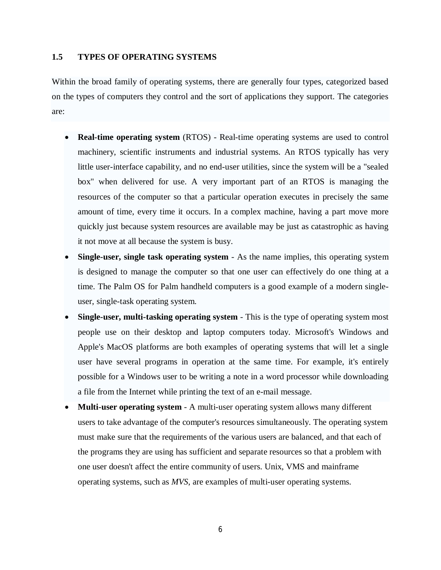#### **1.5 TYPES OF OPERATING SYSTEMS**

Within the broad family of operating systems, there are generally four types, categorized based on the types of computers they control and the sort of applications they support. The categories are:

- **Real-time operating system** (RTOS) Real-time operating systems are used to control machinery, scientific instruments and industrial systems. An RTOS typically has very little user-interface capability, and no end-user utilities, since the system will be a "sealed box" when delivered for use. A very important part of an RTOS is managing the resources of the computer so that a particular operation executes in precisely the same amount of time, every time it occurs. In a complex machine, having a part move more quickly just because system resources are available may be just as catastrophic as having it not move at all because the system is busy.
- **Single-user, single task operating system** As the name implies, this operating system is designed to manage the computer so that one user can effectively do one thing at a time. The Palm OS for Palm handheld computers is a good example of a modern singleuser, single-task operating system.
- **Single-user, multi-tasking operating system** This is the type of operating system most people use on their desktop and laptop computers today. Microsoft's Windows and Apple's MacOS platforms are both examples of operating systems that will let a single user have several programs in operation at the same time. For example, it's entirely possible for a Windows user to be writing a note in a word processor while downloading a file from the Internet while printing the text of an e-mail message.
- **Multi-user operating system** A multi-user operating system allows many different users to take advantage of the computer's resources simultaneously. The operating system must make sure that the requirements of the various users are balanced, and that each of the programs they are using has sufficient and separate resources so that a problem with one user doesn't affect the entire community of users. Unix, VMS and mainframe operating systems, such as *MVS*, are examples of multi-user operating systems.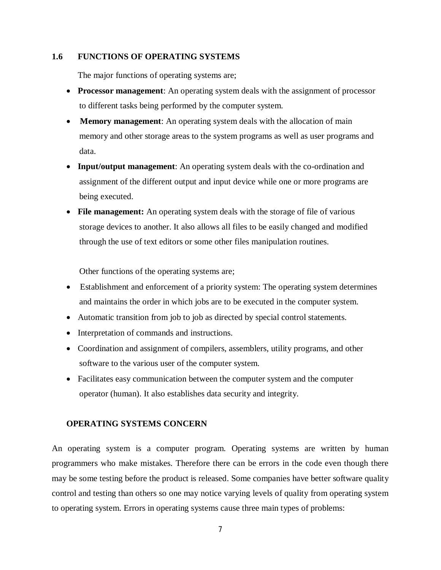#### **1.6 FUNCTIONS OF OPERATING SYSTEMS**

The major functions of operating systems are;

- **Processor management**: An operating system deals with the assignment of processor to different tasks being performed by the computer system.
- **Memory management**: An operating system deals with the allocation of main memory and other storage areas to the system programs as well as user programs and data.
- **Input/output management**: An operating system deals with the co-ordination and assignment of the different output and input device while one or more programs are being executed.
- File management: An operating system deals with the storage of file of various storage devices to another. It also allows all files to be easily changed and modified through the use of text editors or some other files manipulation routines.

Other functions of the operating systems are;

- Establishment and enforcement of a priority system: The operating system determines and maintains the order in which jobs are to be executed in the computer system.
- Automatic transition from job to job as directed by special control statements.
- Interpretation of commands and instructions.
- Coordination and assignment of compilers, assemblers, utility programs, and other software to the various user of the computer system.
- Facilitates easy communication between the computer system and the computer operator (human). It also establishes data security and integrity.

#### **OPERATING SYSTEMS CONCERN**

An operating system is a computer program. Operating systems are written by human programmers who make mistakes. Therefore there can be errors in the code even though there may be some testing before the product is released. Some companies have better software quality control and testing than others so one may notice varying levels of quality from operating system to operating system. Errors in operating systems cause three main types of problems: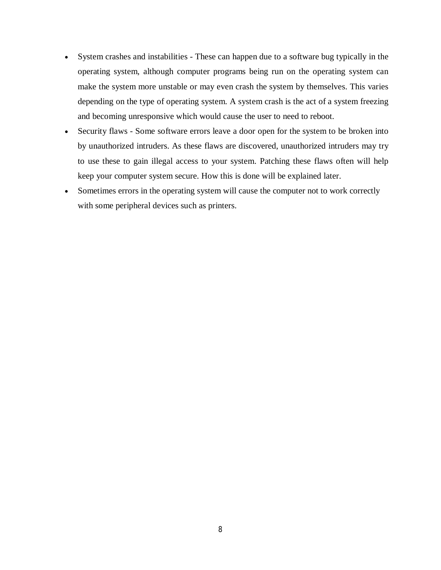- System crashes and instabilities These can happen due to a software bug typically in the operating system, although computer programs being run on the operating system can make the system more unstable or may even crash the system by themselves. This varies depending on the type of operating system. A system crash is the act of a system freezing and becoming unresponsive which would cause the user to need to reboot.
- Security flaws Some software errors leave a door open for the system to be broken into by unauthorized intruders. As these flaws are discovered, unauthorized intruders may try to use these to gain illegal access to your system. Patching these flaws often will help keep your computer system secure. How this is done will be explained later.
- Sometimes errors in the operating system will cause the computer not to work correctly with some peripheral devices such as printers.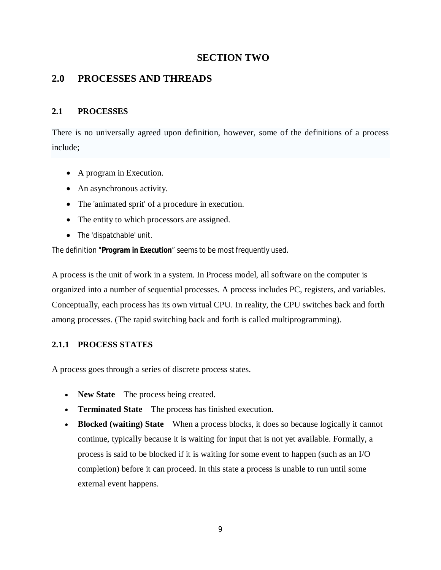# **SECTION TWO**

# **2.0 PROCESSES AND THREADS**

# **2.1 PROCESSES**

There is no universally agreed upon definition, however, some of the definitions of a process include;

- A program in Execution.
- An asynchronous activity.
- The 'animated sprit' of a procedure in execution.
- The entity to which processors are assigned.
- The 'dispatchable' unit.

The definition "*Program in Execution"* seems to be most frequently used.

A process is the unit of work in a system. In Process model, all software on the computer is organized into a number of sequential processes. A process includes PC, registers, and variables. Conceptually, each process has its own virtual CPU. In reality, the CPU switches back and forth among processes. (The rapid switching back and forth is called multiprogramming).

# **2.1.1 PROCESS STATES**

A process goes through a series of discrete process states.

- **New State** The process being created.
- **Terminated State** The process has finished execution.
- **Blocked (waiting) State** When a process blocks, it does so because logically it cannot continue, typically because it is waiting for input that is not yet available. Formally, a process is said to be blocked if it is waiting for some event to happen (such as an I/O completion) before it can proceed. In this state a process is unable to run until some external event happens.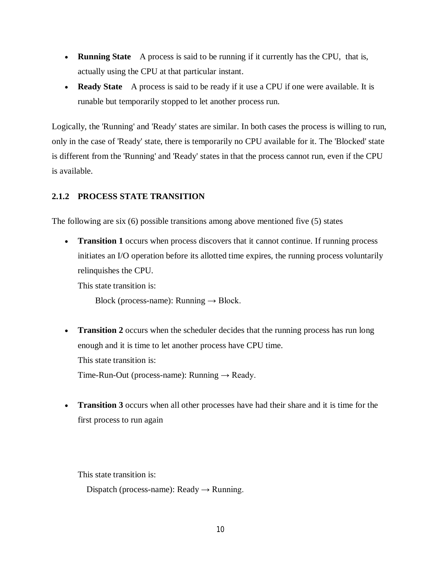- **Running State** A process is said to be running if it currently has the CPU, that is, actually using the CPU at that particular instant.
- **Ready State** A process is said to be ready if it use a CPU if one were available. It is runable but temporarily stopped to let another process run.

Logically, the 'Running' and 'Ready' states are similar. In both cases the process is willing to run, only in the case of 'Ready' state, there is temporarily no CPU available for it. The 'Blocked' state is different from the 'Running' and 'Ready' states in that the process cannot run, even if the CPU is available.

# **2.1.2 PROCESS STATE TRANSITION**

The following are six (6) possible transitions among above mentioned five (5) states

• **Transition 1** occurs when process discovers that it cannot continue. If running process initiates an I/O operation before its allotted time expires, the running process voluntarily relinquishes the CPU.

This state transition is:

Block (process-name): Running  $\rightarrow$  Block.

- **Transition 2** occurs when the scheduler decides that the running process has run long enough and it is time to let another process have CPU time. This state transition is: Time-Run-Out (process-name): Running  $\rightarrow$  Ready.
- **Transition 3** occurs when all other processes have had their share and it is time for the first process to run again

This state transition is:

Dispatch (process-name): Ready  $\rightarrow$  Running.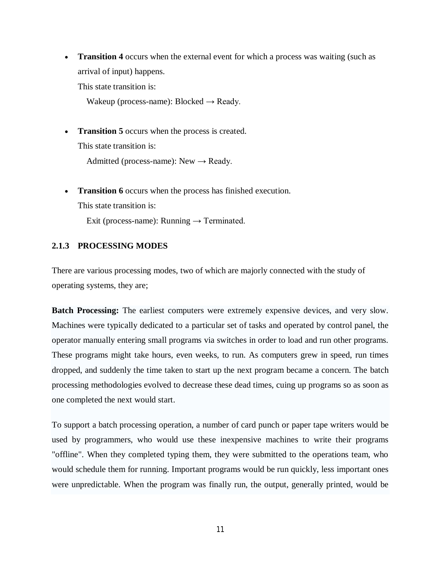**Transition 4** occurs when the external event for which a process was waiting (such as arrival of input) happens.

This state transition is:

Wakeup (process-name): Blocked  $\rightarrow$  Ready.

**Transition 5** occurs when the process is created.

This state transition is:

Admitted (process-name): New  $\rightarrow$  Ready.

**Transition 6** occurs when the process has finished execution. This state transition is:

Exit (process-name): Running  $\rightarrow$  Terminated.

# **2.1.3 PROCESSING MODES**

There are various processing modes, two of which are majorly connected with the study of operating systems, they are;

**Batch Processing:** The earliest computers were extremely expensive devices, and very slow. Machines were typically dedicated to a particular set of tasks and operated by control panel, the operator manually entering small programs via switches in order to load and run other programs. These programs might take hours, even weeks, to run. As computers grew in speed, run times dropped, and suddenly the time taken to start up the next program became a concern. The batch processing methodologies evolved to decrease these dead times, cuing up programs so as soon as one completed the next would start.

To support a batch processing operation, a number of card punch or paper tape writers would be used by programmers, who would use these inexpensive machines to write their programs "offline". When they completed typing them, they were submitted to the operations team, who would schedule them for running. Important programs would be run quickly, less important ones were unpredictable. When the program was finally run, the output, generally printed, would be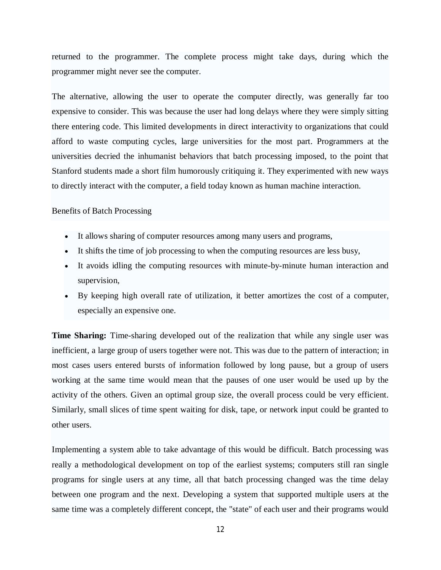returned to the programmer. The complete process might take days, during which the programmer might never see the computer.

The alternative, allowing the user to operate the computer directly, was generally far too expensive to consider. This was because the user had long delays where they were simply sitting there entering code. This limited developments in direct interactivity to organizations that could afford to waste computing cycles, large universities for the most part. Programmers at the universities decried the inhumanist behaviors that batch processing imposed, to the point that Stanford students made a short film humorously critiquing it. They experimented with new ways to directly interact with the computer, a field today known as human machine interaction.

### Benefits of Batch Processing

- It allows sharing of computer resources among many users and programs,
- It shifts the time of job processing to when the computing resources are less busy,
- It avoids idling the computing resources with minute-by-minute human interaction and supervision,
- By keeping high overall rate of utilization, it better amortizes the cost of a computer, especially an expensive one.

**Time Sharing:** Time-sharing developed out of the realization that while any single user was inefficient, a large group of users together were not. This was due to the pattern of interaction; in most cases users entered bursts of information followed by long pause, but a group of users working at the same time would mean that the pauses of one user would be used up by the activity of the others. Given an optimal group size, the overall process could be very efficient. Similarly, small slices of time spent waiting for disk, tape, or network input could be granted to other users.

Implementing a system able to take advantage of this would be difficult. Batch processing was really a methodological development on top of the earliest systems; computers still ran single programs for single users at any time, all that batch processing changed was the time delay between one program and the next. Developing a system that supported multiple users at the same time was a completely different concept, the "state" of each user and their programs would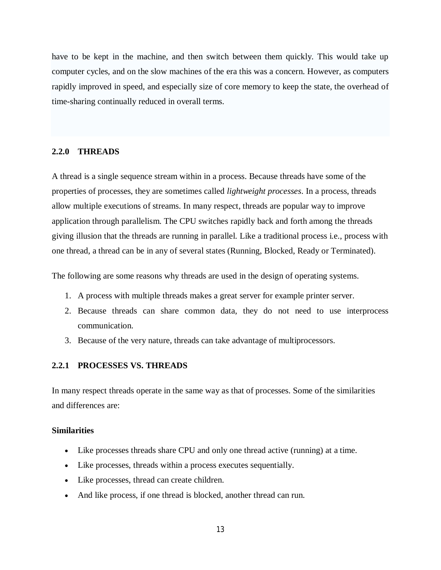have to be kept in the machine, and then switch between them quickly. This would take up computer cycles, and on the slow machines of the era this was a concern. However, as computers rapidly improved in speed, and especially size of core memory to keep the state, the overhead of time-sharing continually reduced in overall terms.

#### **2.2.0 THREADS**

A thread is a single sequence stream within in a process. Because threads have some of the properties of processes, they are sometimes called *lightweight processes*. In a process, threads allow multiple executions of streams. In many respect, threads are popular way to improve application through parallelism. The CPU switches rapidly back and forth among the threads giving illusion that the threads are running in parallel. Like a traditional process i.e., process with one thread, a thread can be in any of several states (Running, Blocked, Ready or Terminated).

The following are some reasons why threads are used in the design of operating systems.

- 1. A process with multiple threads makes a great server for example printer server.
- 2. Because threads can share common data, they do not need to use interprocess communication.
- 3. Because of the very nature, threads can take advantage of multiprocessors.

#### **2.2.1 PROCESSES VS. THREADS**

In many respect threads operate in the same way as that of processes. Some of the similarities and differences are:

#### **Similarities**

- Like processes threads share CPU and only one thread active (running) at a time.
- Like processes, threads within a process executes sequentially.
- Like processes, thread can create children.
- And like process, if one thread is blocked, another thread can run.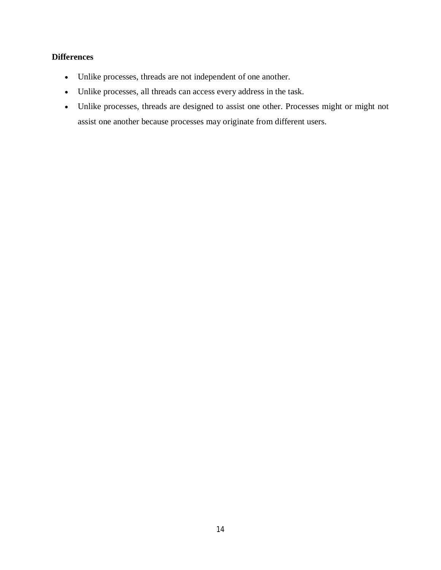# **Differences**

- Unlike processes, threads are not independent of one another.
- Unlike processes, all threads can access every address in the task.
- Unlike processes, threads are designed to assist one other. Processes might or might not assist one another because processes may originate from different users.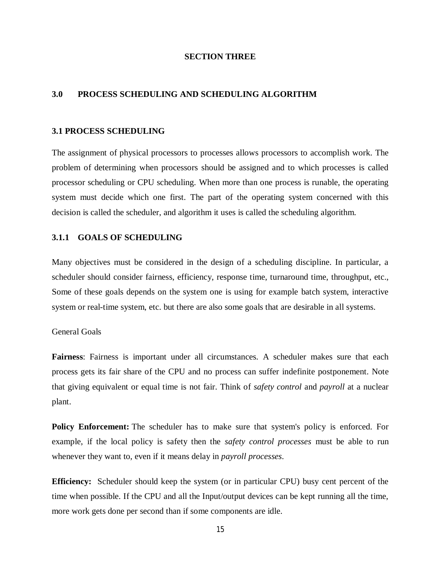#### **SECTION THREE**

#### **3.0 PROCESS SCHEDULING AND SCHEDULING ALGORITHM**

#### **3.1 PROCESS SCHEDULING**

The assignment of physical processors to processes allows processors to accomplish work. The problem of determining when processors should be assigned and to which processes is called processor scheduling or CPU scheduling. When more than one process is runable, the operating system must decide which one first. The part of the operating system concerned with this decision is called the scheduler, and algorithm it uses is called the scheduling algorithm.

#### **3.1.1 GOALS OF SCHEDULING**

Many objectives must be considered in the design of a scheduling discipline. In particular, a scheduler should consider fairness, efficiency, response time, turnaround time, throughput, etc., Some of these goals depends on the system one is using for example batch system, interactive system or real-time system, etc. but there are also some goals that are desirable in all systems.

#### General Goals

**Fairness**: Fairness is important under all circumstances. A scheduler makes sure that each process gets its fair share of the CPU and no process can suffer indefinite postponement. Note that giving equivalent or equal time is not fair. Think of *safety control* and *payroll* at a nuclear plant.

**Policy Enforcement:** The scheduler has to make sure that system's policy is enforced. For example, if the local policy is safety then the *safety control processes* must be able to run whenever they want to, even if it means delay in *payroll processes*.

**Efficiency:** Scheduler should keep the system (or in particular CPU) busy cent percent of the time when possible. If the CPU and all the Input/output devices can be kept running all the time, more work gets done per second than if some components are idle.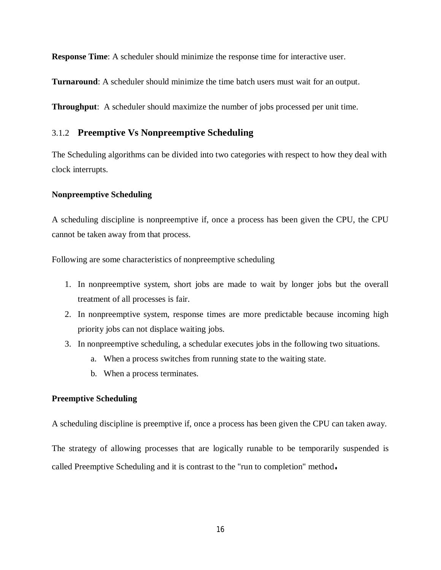**Response Time**: A scheduler should minimize the response time for interactive user.

**Turnaround**: A scheduler should minimize the time batch users must wait for an output.

**Throughput**: A scheduler should maximize the number of jobs processed per unit time.

# 3.1.2 **Preemptive Vs Nonpreemptive Scheduling**

The Scheduling algorithms can be divided into two categories with respect to how they deal with clock interrupts.

#### **Nonpreemptive Scheduling**

A scheduling discipline is nonpreemptive if, once a process has been given the CPU, the CPU cannot be taken away from that process.

Following are some characteristics of nonpreemptive scheduling

- 1. In nonpreemptive system, short jobs are made to wait by longer jobs but the overall treatment of all processes is fair.
- 2. In nonpreemptive system, response times are more predictable because incoming high priority jobs can not displace waiting jobs.
- 3. In nonpreemptive scheduling, a schedular executes jobs in the following two situations.
	- a. When a process switches from running state to the waiting state.
	- b. When a process terminates.

#### **Preemptive Scheduling**

A scheduling discipline is preemptive if, once a process has been given the CPU can taken away.

The strategy of allowing processes that are logically runable to be temporarily suspended is called Preemptive Scheduling and it is contrast to the "run to completion" method**.**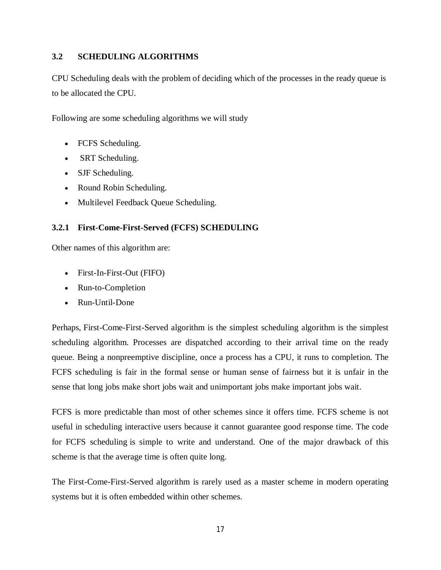# **3.2 SCHEDULING ALGORITHMS**

CPU Scheduling deals with the problem of deciding which of the processes in the ready queue is to be allocated the CPU.

Following are some scheduling algorithms we will study

- FCFS Scheduling.
- SRT Scheduling.
- SJF Scheduling.
- Round Robin Scheduling.
- Multilevel Feedback Queue Scheduling.

# **3.2.1 First-Come-First-Served (FCFS) SCHEDULING**

Other names of this algorithm are:

- First-In-First-Out (FIFO)
- Run-to-Completion
- Run-Until-Done

Perhaps, First-Come-First-Served algorithm is the simplest scheduling algorithm is the simplest scheduling algorithm. Processes are dispatched according to their arrival time on the ready queue. Being a nonpreemptive discipline, once a process has a CPU, it runs to completion. The FCFS scheduling is fair in the formal sense or human sense of fairness but it is unfair in the sense that long jobs make short jobs wait and unimportant jobs make important jobs wait.

FCFS is more predictable than most of other schemes since it offers time. FCFS scheme is not useful in scheduling interactive users because it cannot guarantee good response time. The code for FCFS scheduling is simple to write and understand. One of the major drawback of this scheme is that the average time is often quite long.

The First-Come-First-Served algorithm is rarely used as a master scheme in modern operating systems but it is often embedded within other schemes.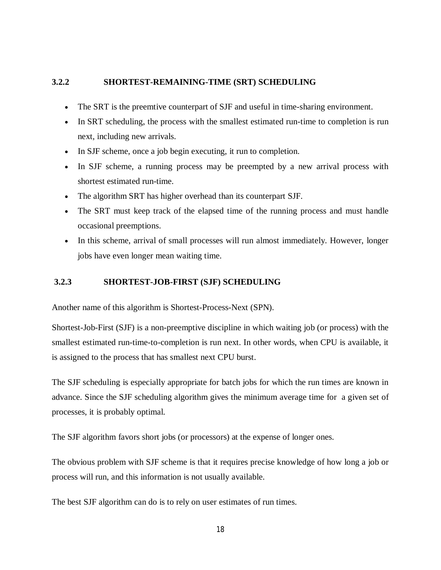# **3.2.2 SHORTEST-REMAINING-TIME (SRT) SCHEDULING**

- The SRT is the preemtive counterpart of SJF and useful in time-sharing environment.
- In SRT scheduling, the process with the smallest estimated run-time to completion is run next, including new arrivals.
- In SJF scheme, once a job begin executing, it run to completion.
- In SJF scheme, a running process may be preempted by a new arrival process with shortest estimated run-time.
- The algorithm SRT has higher overhead than its counterpart SJF.
- The SRT must keep track of the elapsed time of the running process and must handle occasional preemptions.
- In this scheme, arrival of small processes will run almost immediately. However, longer jobs have even longer mean waiting time.

# **3.2.3 SHORTEST-JOB-FIRST (SJF) SCHEDULING**

Another name of this algorithm is Shortest-Process-Next (SPN).

Shortest-Job-First (SJF) is a non-preemptive discipline in which waiting job (or process) with the smallest estimated run-time-to-completion is run next. In other words, when CPU is available, it is assigned to the process that has smallest next CPU burst.

The SJF scheduling is especially appropriate for batch jobs for which the run times are known in advance. Since the SJF scheduling algorithm gives the minimum average time for a given set of processes, it is probably optimal.

The SJF algorithm favors short jobs (or processors) at the expense of longer ones.

The obvious problem with SJF scheme is that it requires precise knowledge of how long a job or process will run, and this information is not usually available.

The best SJF algorithm can do is to rely on user estimates of run times.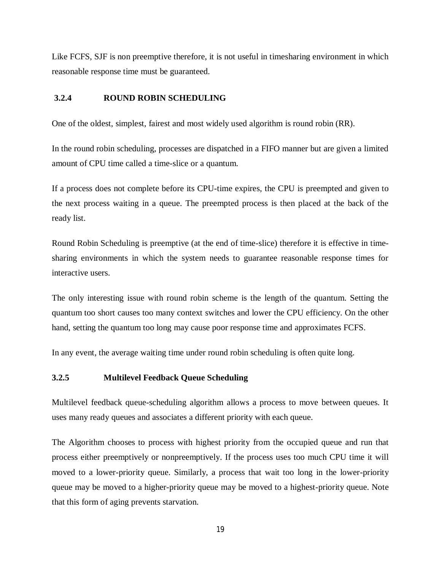Like FCFS, SJF is non preemptive therefore, it is not useful in timesharing environment in which reasonable response time must be guaranteed.

### **3.2.4 ROUND ROBIN SCHEDULING**

One of the oldest, simplest, fairest and most widely used algorithm is round robin (RR).

In the round robin scheduling, processes are dispatched in a FIFO manner but are given a limited amount of CPU time called a time-slice or a quantum.

If a process does not complete before its CPU-time expires, the CPU is preempted and given to the next process waiting in a queue. The preempted process is then placed at the back of the ready list.

Round Robin Scheduling is preemptive (at the end of time-slice) therefore it is effective in timesharing environments in which the system needs to guarantee reasonable response times for interactive users.

The only interesting issue with round robin scheme is the length of the quantum. Setting the quantum too short causes too many context switches and lower the CPU efficiency. On the other hand, setting the quantum too long may cause poor response time and approximates FCFS.

In any event, the average waiting time under round robin scheduling is often quite long.

# **3.2.5 Multilevel Feedback Queue Scheduling**

Multilevel feedback queue-scheduling algorithm allows a process to move between queues. It uses many ready queues and associates a different priority with each queue.

The Algorithm chooses to process with highest priority from the occupied queue and run that process either preemptively or nonpreemptively. If the process uses too much CPU time it will moved to a lower-priority queue. Similarly, a process that wait too long in the lower-priority queue may be moved to a higher-priority queue may be moved to a highest-priority queue. Note that this form of aging prevents starvation.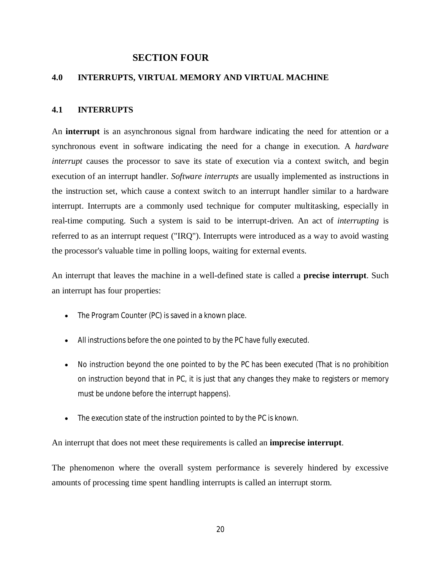# **SECTION FOUR**

# **4.0 INTERRUPTS, VIRTUAL MEMORY AND VIRTUAL MACHINE**

### **4.1 INTERRUPTS**

An **interrupt** is an asynchronous signal from hardware indicating the need for attention or a synchronous event in software indicating the need for a change in execution. A *hardware interrupt* causes the processor to save its state of execution via a context switch, and begin execution of an interrupt handler. *Software interrupts* are usually implemented as instructions in the instruction set, which cause a context switch to an interrupt handler similar to a hardware interrupt. Interrupts are a commonly used technique for computer multitasking, especially in real-time computing. Such a system is said to be interrupt-driven. An act of *interrupting* is referred to as an interrupt request ("IRQ"). Interrupts were introduced as a way to avoid wasting the processor's valuable time in polling loops, waiting for external events.

An interrupt that leaves the machine in a well-defined state is called a **precise interrupt**. Such an interrupt has four properties:

- The Program Counter (PC) is saved in a known place.
- All instructions before the one pointed to by the PC have fully executed.
- No instruction beyond the one pointed to by the PC has been executed (That is no prohibition on instruction beyond that in PC, it is just that any changes they make to registers or memory must be undone before the interrupt happens).
- The execution state of the instruction pointed to by the PC is known.

An interrupt that does not meet these requirements is called an **imprecise interrupt**.

The phenomenon where the overall system performance is severely hindered by excessive amounts of processing time spent handling interrupts is called an interrupt storm.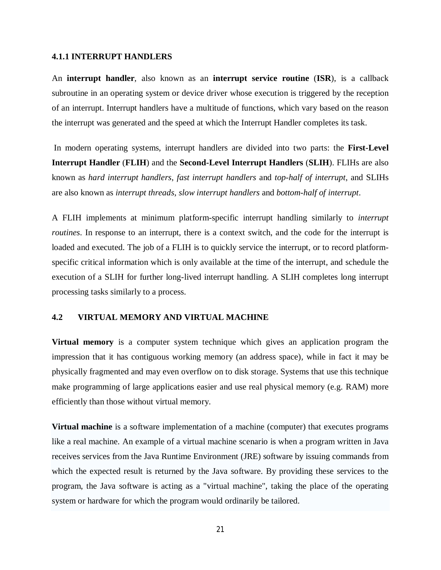#### **4.1.1 INTERRUPT HANDLERS**

An **interrupt handler**, also known as an **interrupt service routine** (**ISR**), is a callback subroutine in an operating system or device driver whose execution is triggered by the reception of an interrupt. Interrupt handlers have a multitude of functions, which vary based on the reason the interrupt was generated and the speed at which the Interrupt Handler completes its task.

In modern operating systems, interrupt handlers are divided into two parts: the **First-Level Interrupt Handler** (**FLIH**) and the **Second-Level Interrupt Handlers** (**SLIH**). FLIHs are also known as *hard interrupt handlers*, *fast interrupt handlers* and *top-half of interrupt*, and SLIHs are also known as *interrupt threads*, *slow interrupt handlers* and *bottom-half of interrupt*.

A FLIH implements at minimum platform-specific interrupt handling similarly to *interrupt routines*. In response to an interrupt, there is a context switch, and the code for the interrupt is loaded and executed. The job of a FLIH is to quickly service the interrupt, or to record platformspecific critical information which is only available at the time of the interrupt, and schedule the execution of a SLIH for further long-lived interrupt handling. A SLIH completes long interrupt processing tasks similarly to a process.

### **4.2 VIRTUAL MEMORY AND VIRTUAL MACHINE**

**Virtual memory** is a computer system technique which gives an application program the impression that it has contiguous working memory (an address space), while in fact it may be physically fragmented and may even overflow on to disk storage. Systems that use this technique make programming of large applications easier and use real physical memory (e.g. RAM) more efficiently than those without virtual memory.

**Virtual machine** is a software implementation of a machine (computer) that executes programs like a real machine. An example of a virtual machine scenario is when a program written in Java receives services from the Java Runtime Environment (JRE) software by issuing commands from which the expected result is returned by the Java software. By providing these services to the program, the Java software is acting as a "virtual machine", taking the place of the operating system or hardware for which the program would ordinarily be tailored.